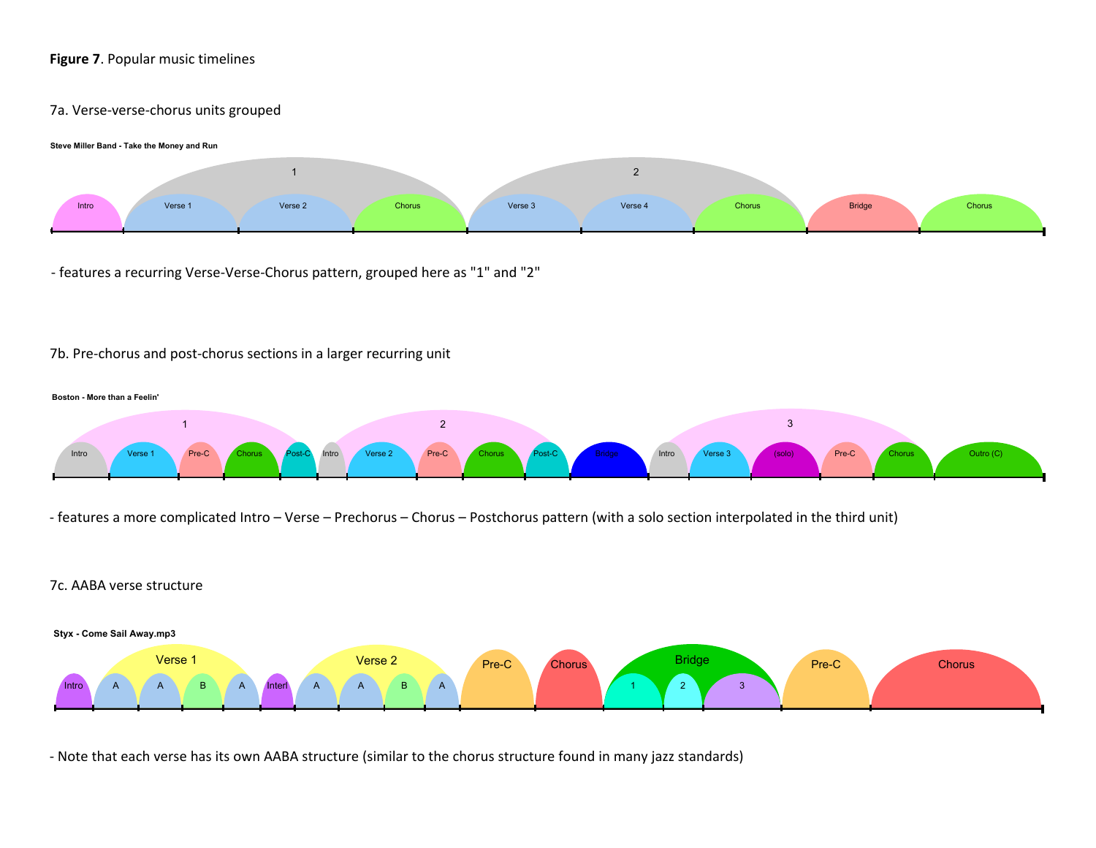# **Figure 7**. Popular music timelines

#### 7a. Verse-verse-chorus units grouped



- features a recurring Verse-Verse-Chorus pattern, grouped here as "1" and "2"

## 7b. Pre-chorus and post-chorus sections in a larger recurring unit



- features a more complicated Intro – Verse – Prechorus – Chorus – Postchorus pattern (with a solo section interpolated in the third unit)

## 7c. AABA verse structure



- Note that each verse has its own AABA structure (similar to the chorus structure found in many jazz standards)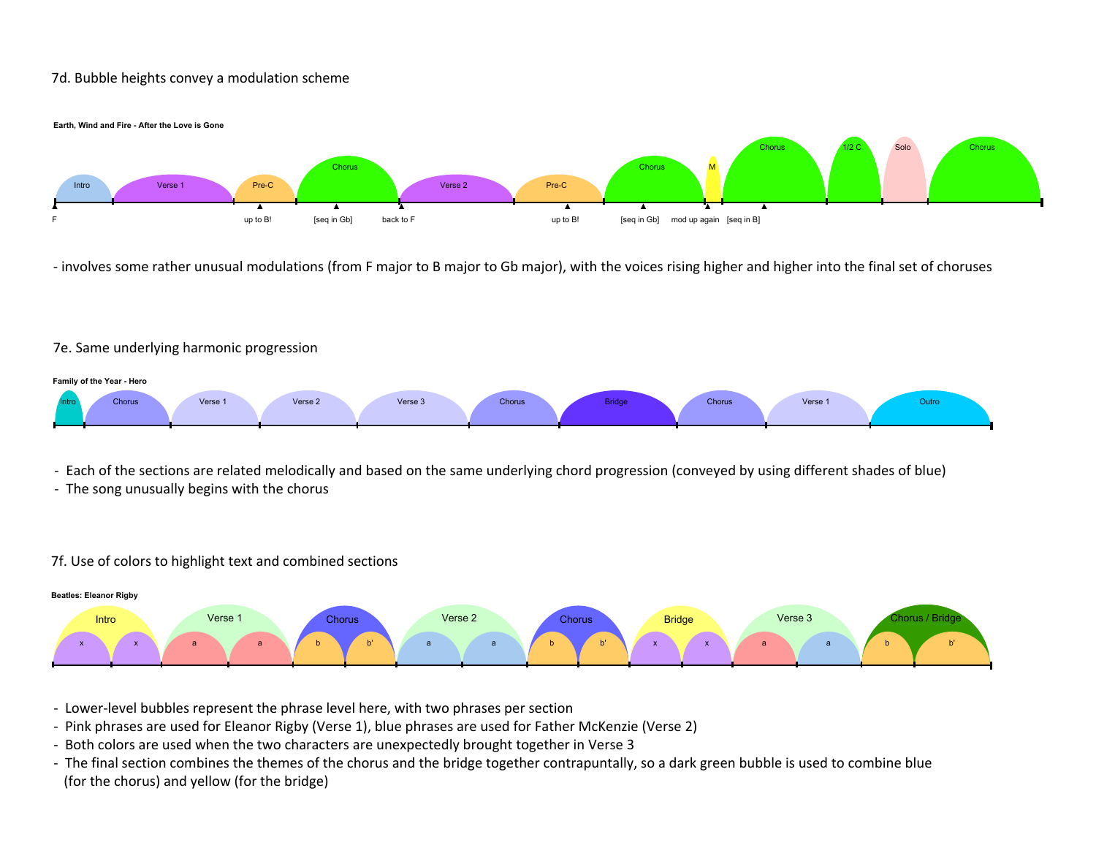### 7d. Bubble heights convey a modulation scheme



- involves some rather unusual modulations (from F major to B major to Gb major), with the voices rising higher and higher into the final set of choruses

### 7e. Same underlying harmonic progression



- Each of the sections are related melodically and based on the same underlying chord progression (conveyed by using different shades of blue)

- The song unusually begins with the chorus

## 7f. Use of colors to highlight text and combined sections



- Lower-level bubbles represent the phrase level here, with two phrases per section

- Pink phrases are used for Eleanor Rigby (Verse 1), blue phrases are used for Father McKenzie (Verse 2)
- Both colors are used when the two characters are unexpectedly brought together in Verse 3
- The final section combines the themes of the chorus and the bridge together contrapuntally, so a dark green bubble is used to combine blue (for the chorus) and yellow (for the bridge)